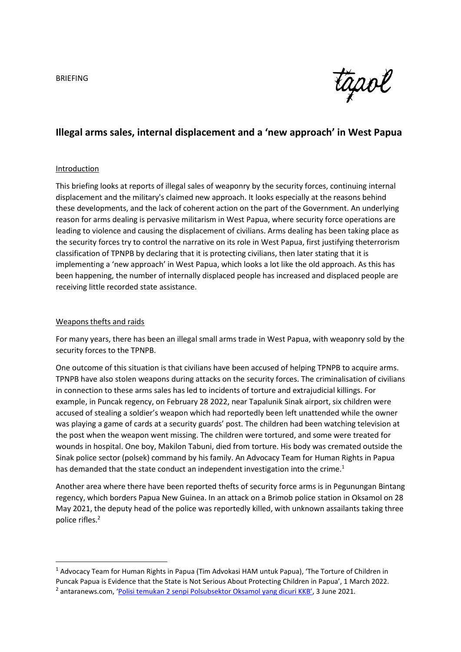

# **Illegal arms sales, internal displacement and a 'new approach' in West Papua**

### Introduction

This briefing looks at reports of illegal sales of weaponry by the security forces, continuing internal displacement and the military's claimed new approach. It looks especially at the reasons behind these developments, and the lack of coherent action on the part of the Government. An underlying reason for arms dealing is pervasive militarism in West Papua, where security force operations are leading to violence and causing the displacement of civilians. Arms dealing has been taking place as the security forces try to control the narrative on its role in West Papua, first justifying theterrorism classification of TPNPB by declaring that it is protecting civilians, then later stating that it is implementing a 'new approach' in West Papua, which looks a lot like the old approach. As this has been happening, the number of internally displaced people has increased and displaced people are receiving little recorded state assistance.

### Weapons thefts and raids

**.** 

For many years, there has been an illegal small arms trade in West Papua, with weaponry sold by the security forces to the TPNPB.

One outcome of this situation is that civilians have been accused of helping TPNPB to acquire arms. TPNPB have also stolen weapons during attacks on the security forces. The criminalisation of civilians in connection to these arms sales has led to incidents of torture and extrajudicial killings. For example, in Puncak regency, on February 28 2022, near Tapalunik Sinak airport, six children were accused of stealing a soldier's weapon which had reportedly been left unattended while the owner was playing a game of cards at a security guards' post. The children had been watching television at the post when the weapon went missing. The children were tortured, and some were treated for wounds in hospital. One boy, Makilon Tabuni, died from torture. His body was cremated outside the Sinak police sector (polsek) command by his family. An Advocacy Team for Human Rights in Papua has demanded that the state conduct an independent investigation into the crime.<sup>1</sup>

Another area where there have been reported thefts of security force arms is in Pegunungan Bintang regency, which borders Papua New Guinea. In an attack on a Brimob police station in Oksamol on 28 May 2021, the deputy head of the police was reportedly killed, with unknown assailants taking three police rifles.<sup>2</sup>

<sup>1</sup> Advocacy Team for Human Rights in Papua (Tim Advokasi HAM untuk Papua), 'The Torture of Children in Puncak Papua is Evidence that the State is Not Serious About Protecting Children in Papua', 1 March 2022. <sup>2</sup> antaranews.com, '<u>Polisi temukan 2 senpi Polsub[sektor Oksamol yang dicuri KKB'](https://www.antaranews.com/video/2190626/polisi-temukan-2-senpi-polsubsektor-oksamol-yang-dicuri-kkb)</u>, 3 June 2021.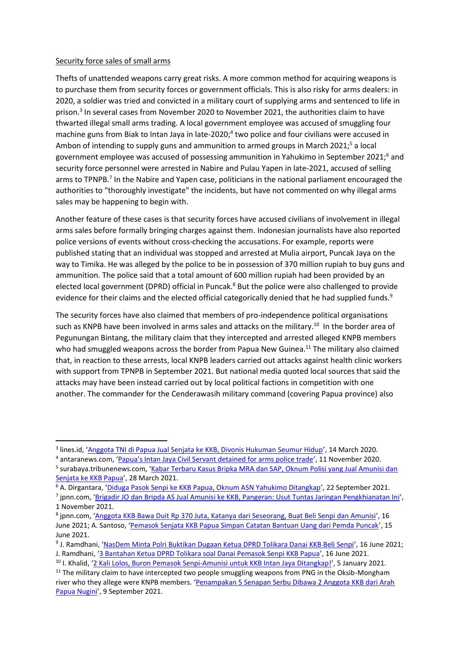## Security force sales of small arms

1

Thefts of unattended weapons carry great risks. A more common method for acquiring weapons is to purchase them from security forces or government officials. This is also risky for arms dealers: in 2020, a soldier was tried and convicted in a military court of supplying arms and sentenced to life in prison. 3 In several cases from November 2020 to November 2021, the authorities claim to have thwarted illegal small arms trading. A local government employee was accused of smuggling four machine guns from Biak to Intan Jaya in late-2020;<sup>4</sup> two police and four civilians were accused in Ambon of intending to supply guns and ammunition to armed groups in March 2021;<sup>5</sup> a local government employee was accused of possessing ammunition in Yahukimo in September 2021;<sup>6</sup> and security force personnel were arrested in Nabire and Pulau Yapen in late-2021, accused of selling arms to TPNPB.<sup>7</sup> In the Nabire and Yapen case, politicians in the national parliament encouraged the authorities to "thoroughly investigate" the incidents, but have not commented on why illegal arms sales may be happening to begin with.

Another feature of these cases is that security forces have accused civilians of involvement in illegal arms sales before formally bringing charges against them. Indonesian journalists have also reported police versions of events without cross-checking the accusations. For example, reports were published stating that an individual was stopped and arrested at Mulia airport, Puncak Jaya on the way to Timika. He was alleged by the police to be in possession of 370 million rupiah to buy guns and ammunition. The police said that a total amount of 600 million rupiah had been provided by an elected local government (DPRD) official in Puncak.<sup>8</sup> But the police were also challenged to provide evidence for their claims and the elected official categorically denied that he had supplied funds.<sup>9</sup>

The security forces have also claimed that members of pro-independence political organisations such as KNPB have been involved in arms sales and attacks on the military.<sup>10</sup> In the border area of Pegunungan Bintang, the military claim that they intercepted and arrested alleged KNPB members who had smuggled weapons across the border from Papua New Guinea.<sup>11</sup> The military also claimed that, in reaction to these arrests, local KNPB leaders carried out attacks against health clinic workers with support from TPNPB in September 2021. But national media quoted local sources that said the attacks may have been instead carried out by local political factions in competition with one another. The commander for the Cenderawasih military command (covering Papua province) also

<sup>&</sup>lt;sup>3</sup> lines.id, '<u>Anggota [TNI di Papua Jual Senjata ke KKB, Divonis Hukuman Seumur Hidup](https://www.lines.id/news/l-3883/anggota-tni-di-papua-jual-senjata-ke-kkb-divonis-hukuman-seumur-hidup/)',</u> 14 March 2020.

<sup>4</sup> antaranews.com, ['Papua's Intan Jaya Civil Servant detained for arms police trade'](https://en.antaranews.com/news/165048/papuas-intan-jaya-civil-servant-detained-for-arms-trade-police), 11 November 2020. <sup>5</sup> surabaya.tribunenews.com, '<u>Kabar Terbaru Kasus Bripka MRA dan SAP, Oknum Polisi yang Jual Amunisi dan</u> [Senjata ke KKB Papua](https://surabaya.tribunnews.com/2021/03/28/kabar-terbaru-kasus-bripka-mra-dan-sap-oknum-polisi-yang-jual-amunisi-dan-senjata-ke-kkb-papua)', 28 March 2021.

<sup>6</sup> A. Dirgantara, '[Diduga Pasok Senpi ke KKB Papua, Oknum ASN Yahukimo Ditangkap](https://news.detik.com/berita/d-5735888/diduga-pasok-senpi-ke-kkb-papua-oknum-asn-yahukimo-ditangkap)', 22 September 2021.

<sup>&</sup>lt;sup>7</sup> jpnn.com, '<u>[Brigadir JO dan Bripda AS Jual Amunisi ke KKB, Pangeran: Usut Tuntas Jaringan Pengkhianatan Ini](https://www.jpnn.com/news/brigadir-jo-dan-bripda-as-jual-amunisi-ke-kkb-pangeran-usut-tuntas-jaringan-pengkhianatan-ini)',</u> 1 November 2021.

<sup>&</sup>lt;sup>8</sup> jpnn.com, '[Anggota KKB Bawa Duit Rp 370 Juta, Katanya dari Seseorang, Buat Beli Senpi dan Amunisi](https://www.jpnn.com/news/anggota-kkb-bawa-duit-rp-370-juta-katanya-dari-seseorang-buat-beli-senpi-dan-amunisi)', 16 June 2021; A. Santoso, '[Pemasok Senjata KKB Papua Simpan Catatan Bantuan Uang dari Pemda Puncak](https://news.detik.com/berita/d-5607145/pemasok-senjata-kkb-papua-simpan-catatan-bantuan-uang-dari-pemda-puncak)', 15 June 2021.

<sup>&</sup>lt;sup>9</sup> J. Ramdhani, '<u>[NasDem Minta Polri Buktikan Dugaan Ketua DPRD Tolikara Danai KKB Beli Senpi](https://news.detik.com/berita/d-5608610/nasdem-minta-polri-buktikan-dugaan-ketua-dprd-tolikara-danai-kkb-beli-senpi)', 16 June 2021;</u> J. Ramdhani, '[3 Bantahan Ketua DPRD Tolikara soal Danai Pemasok Senpi KKB Papua](https://news.detik.com/berita/d-5612830/3-bantahan-ketua-dprd-tolikara-soal-danai-pemasok-senpi-kkb-papua)', 16 June 2021.

<sup>&</sup>lt;sup>10</sup> I. Khalid, '[2 Kali Lolos, Buron Pemasok Senpi-Amunisi untuk KKB Intan Jaya Ditangkap!](https://news.detik.com/berita/d-5322275/2-kali-lolos-buron-pemasok-senpi-amunisi-untuk-kkb-intan-jaya-ditangkap)', 5 January 2021.

 $11$  The military claim to have intercepted two people smuggling weapons from PNG in the Oksib-Mongham river who they allege were KNPB members. '[Penampakan 5 Senapan Serbu Dibawa 2 Anggota KKB dari Arah](https://news.detik.com/berita/d-5714522/penampakan-5-senapan-serbu-dibawa-2-anggota-kkb-dari-arah-papua-nugini)  [Papua Nugini](https://news.detik.com/berita/d-5714522/penampakan-5-senapan-serbu-dibawa-2-anggota-kkb-dari-arah-papua-nugini)', 9 September 2021.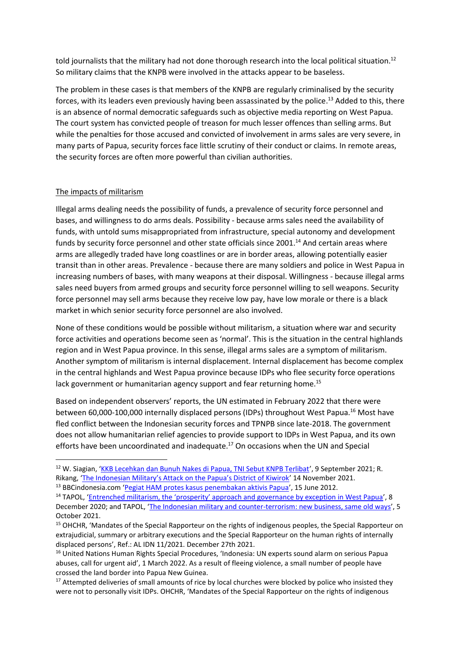told journalists that the military had not done thorough research into the local political situation.<sup>12</sup> So military claims that the KNPB were involved in the attacks appear to be baseless.

The problem in these cases is that members of the KNPB are regularly criminalised by the security forces, with its leaders even previously having been assassinated by the police.<sup>13</sup> Added to this, there is an absence of normal democratic safeguards such as objective media reporting on West Papua. The court system has convicted people of treason for much lesser offences than selling arms. But while the penalties for those accused and convicted of involvement in arms sales are very severe, in many parts of Papua, security forces face little scrutiny of their conduct or claims. In remote areas, the security forces are often more powerful than civilian authorities.

## The impacts of militarism

 $\overline{a}$ 

Illegal arms dealing needs the possibility of funds, a prevalence of security force personnel and bases, and willingness to do arms deals. Possibility - because arms sales need the availability of funds, with untold sums misappropriated from infrastructure, special autonomy and development funds by security force personnel and other state officials since 2001.<sup>14</sup> And certain areas where arms are allegedly traded have long coastlines or are in border areas, allowing potentially easier transit than in other areas. Prevalence - because there are many soldiers and police in West Papua in increasing numbers of bases, with many weapons at their disposal. Willingness - because illegal arms sales need buyers from armed groups and security force personnel willing to sell weapons. Security force personnel may sell arms because they receive low pay, have low morale or there is a black market in which senior security force personnel are also involved.

None of these conditions would be possible without militarism, a situation where war and security force activities and operations become seen as 'normal'. This is the situation in the central highlands region and in West Papua province. In this sense, illegal arms sales are a symptom of militarism. Another symptom of militarism is internal displacement. Internal displacement has become complex in the central highlands and West Papua province because IDPs who flee security force operations lack government or humanitarian agency support and fear returning home.<sup>15</sup>

Based on independent observers' reports, the UN estimated in February 2022 that there were between 60,000-100,000 internally displaced persons (IDPs) throughout West Papua.<sup>16</sup> Most have fled conflict between the Indonesian security forces and TPNPB since late-2018. The government does not allow humanitarian relief agencies to provide support to IDPs in West Papua, and its own efforts have been uncoordinated and inadequate.<sup>17</sup> On occasions when the UN and Special

<sup>&</sup>lt;sup>12</sup> W. Siagian, '[KKB Lecehkan dan Bunuh Nakes di Papua, TNI Sebut KNPB Terlibat](https://news.detik.com/berita/d-5729002/kkb-lecehkan-dan-bunuh-nakes-di-papua-tni-sebut-knpb-terlibat)', 9 September 2021; R. Rikang, ['The Indonesian Military's Attack on the Papua's District of Kiwirok'](https://magz.tempo.co/read/cover-story-/38591/the-indonesian-militarys-attack-on-the-papuas-district-of-kiwirok) 14 November 2021.

<sup>13</sup> BBCindonesia.com '[Pegiat HAM protes kasus penembakan aktivis Papua](https://www.bbc.com/indonesia/berita_indonesia/2012/06/120615_update_kerusuhan_papua)', 15 June 2012.

<sup>&</sup>lt;sup>14</sup> TAPOL, ['Entrenched militarism, the 'prosperity' approach and gov](https://www.tapol.org/briefings/entrenched-militarism-%E2%80%98prosperity%E2%80%99-approach-and-governance-exception-west-papua%C2%A0)ernance by exception in West Papua', 8 December 2020; and TAPOL, '[The Indonesian military and counter-terrorism: new business, same old ways](https://www.tapol.org/briefings/indonesian-military-and-counter-terrorism-new-business-same-old-ways)', 5 October 2021.

<sup>&</sup>lt;sup>15</sup> OHCHR, 'Mandates of the Special Rapporteur on the rights of indigenous peoples, the Special Rapporteur on extrajudicial, summary or arbitrary executions and the Special Rapporteur on the human rights of internally displaced persons', Ref.: AL IDN 11/2021. December 27th 2021.

<sup>&</sup>lt;sup>16</sup> United Nations Human Rights Special Procedures, 'Indonesia: UN experts sound alarm on serious Papua abuses, call for urgent aid', 1 March 2022. As a result of fleeing violence, a small number of people have crossed the land border into Papua New Guinea.

<sup>&</sup>lt;sup>17</sup> Attempted deliveries of small amounts of rice by local churches were blocked by police who insisted they were not to personally visit IDPs. OHCHR, 'Mandates of the Special Rapporteur on the rights of indigenous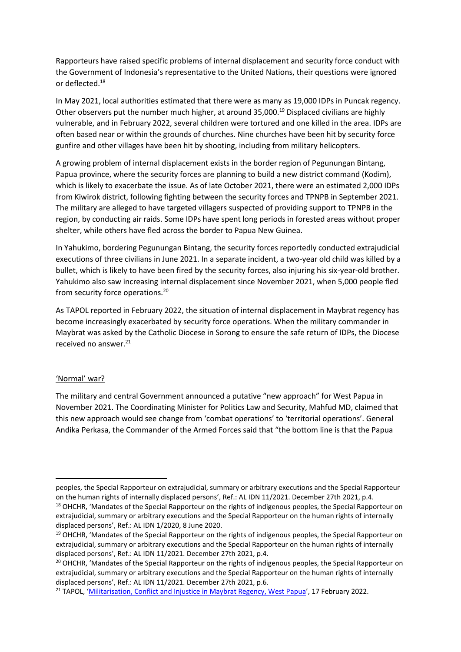Rapporteurs have raised specific problems of internal displacement and security force conduct with the Government of Indonesia's representative to the United Nations, their questions were ignored or deflected.<sup>18</sup>

In May 2021, local authorities estimated that there were as many as 19,000 IDPs in Puncak regency. Other observers put the number much higher, at around 35,000.<sup>19</sup> Displaced civilians are highly vulnerable, and in February 2022, several children were tortured and one killed in the area. IDPs are often based near or within the grounds of churches. Nine churches have been hit by security force gunfire and other villages have been hit by shooting, including from military helicopters.

A growing problem of internal displacement exists in the border region of Pegunungan Bintang, Papua province, where the security forces are planning to build a new district command (Kodim), which is likely to exacerbate the issue. As of late October 2021, there were an estimated 2,000 IDPs from Kiwirok district, following fighting between the security forces and TPNPB in September 2021. The military are alleged to have targeted villagers suspected of providing support to TPNPB in the region, by conducting air raids. Some IDPs have spent long periods in forested areas without proper shelter, while others have fled across the border to Papua New Guinea.

In Yahukimo, bordering Pegunungan Bintang, the security forces reportedly conducted extrajudicial executions of three civilians in June 2021. In a separate incident, a two-year old child was killed by a bullet, which is likely to have been fired by the security forces, also injuring his six-year-old brother. Yahukimo also saw increasing internal displacement since November 2021, when 5,000 people fled from security force operations.<sup>20</sup>

As TAPOL reported in February 2022, the situation of internal displacement in Maybrat regency has become increasingly exacerbated by security force operations. When the military commander in Maybrat was asked by the Catholic Diocese in Sorong to ensure the safe return of IDPs, the Diocese received no answer.<sup>21</sup>

### 'Normal' war?

 $\overline{a}$ 

The military and central Government announced a putative "new approach" for West Papua in November 2021. The Coordinating Minister for Politics Law and Security, Mahfud MD, claimed that this new approach would see change from 'combat operations' to 'territorial operations'. General Andika Perkasa, the Commander of the Armed Forces said that "the bottom line is that the Papua

peoples, the Special Rapporteur on extrajudicial, summary or arbitrary executions and the Special Rapporteur on the human rights of internally displaced persons', Ref.: AL IDN 11/2021. December 27th 2021, p.4.

<sup>&</sup>lt;sup>18</sup> OHCHR, 'Mandates of the Special Rapporteur on the rights of indigenous peoples, the Special Rapporteur on extrajudicial, summary or arbitrary executions and the Special Rapporteur on the human rights of internally displaced persons', Ref.: AL IDN 1/2020, 8 June 2020.

<sup>&</sup>lt;sup>19</sup> OHCHR, 'Mandates of the Special Rapporteur on the rights of indigenous peoples, the Special Rapporteur on extrajudicial, summary or arbitrary executions and the Special Rapporteur on the human rights of internally displaced persons', Ref.: AL IDN 11/2021. December 27th 2021, p.4.

<sup>&</sup>lt;sup>20</sup> OHCHR, 'Mandates of the Special Rapporteur on the rights of indigenous peoples, the Special Rapporteur on extrajudicial, summary or arbitrary executions and the Special Rapporteur on the human rights of internally displaced persons', Ref.: AL IDN 11/2021. December 27th 2021, p.6.

<sup>&</sup>lt;sup>21</sup> TAPOL, '[Militarisation, Conflict and Injustice in Maybrat Regency, West Papua](https://www.tapol.org/briefings/militarisation-conflict-and-injustice-maybrat-regency-west-papua)', 17 February 2022.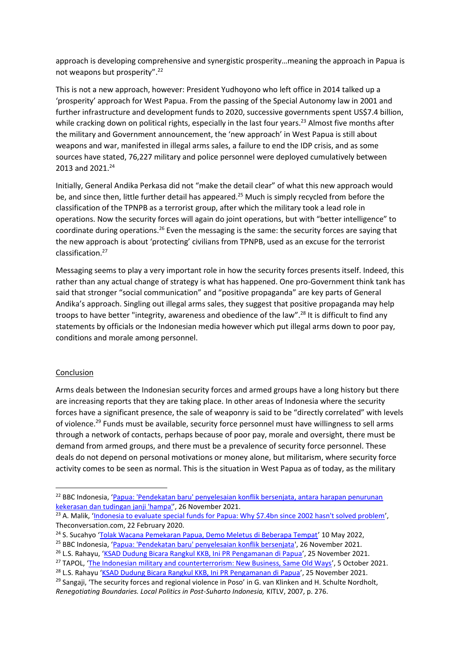approach is developing comprehensive and synergistic prosperity…meaning the approach in Papua is not weapons but prosperity".<sup>22</sup>

This is not a new approach, however: President Yudhoyono who left office in 2014 talked up a 'prosperity' approach for West Papua. From the passing of the Special Autonomy law in 2001 and further infrastructure and development funds to 2020, successive governments spent US\$7.4 billion, while cracking down on political rights, especially in the last four years.<sup>23</sup> Almost five months after the military and Government announcement, the 'new approach' in West Papua is still about weapons and war, manifested in illegal arms sales, a failure to end the IDP crisis, and as some sources have stated, 76,227 military and police personnel were deployed cumulatively between 2013 and 2021.<sup>24</sup>

Initially, General Andika Perkasa did not "make the detail clear" of what this new approach would be, and since then, little further detail has appeared.<sup>25</sup> Much is simply recycled from before the classification of the TPNPB as a terrorist group, after which the military took a lead role in operations. Now the security forces will again do joint operations, but with "better intelligence" to coordinate during operations.<sup>26</sup> Even the messaging is the same: the security forces are saying that the new approach is about 'protecting' civilians from TPNPB, used as an excuse for the terrorist classification.<sup>27</sup>

Messaging seems to play a very important role in how the security forces presents itself. Indeed, this rather than any actual change of strategy is what has happened. One pro-Government think tank has said that stronger "social communication" and "positive propaganda" are key parts of General Andika's approach. Singling out illegal arms sales, they suggest that positive propaganda may help troops to have better "integrity, awareness and obedience of the law".<sup>28</sup> It is difficult to find any statements by officials or the Indonesian media however which put illegal arms down to poor pay, conditions and morale among personnel.

## **Conclusion**

1

Arms deals between the Indonesian security forces and armed groups have a long history but there are increasing reports that they are taking place. In other areas of Indonesia where the security forces have a significant presence, the sale of weaponry is said to be "directly correlated" with levels of violence.<sup>29</sup> Funds must be available, security force personnel must have willingness to sell arms through a network of contacts, perhaps because of poor pay, morale and oversight, there must be demand from armed groups, and there must be a prevalence of security force personnel. These deals do not depend on personal motivations or money alone, but militarism, where security force activity comes to be seen as normal. This is the situation in West Papua as of today, as the military

<sup>&</sup>lt;sup>22</sup> BBC Indonesia, 'Papua: 'Pendekatan baru' penyelesaian konflik bersenjata, antara harapan penurunan [kekerasan dan tudingan janji 'hampa'](https://www.bbc.com/indonesia/indonesia-59345248)', 26 November 2021.

<sup>&</sup>lt;sup>23</sup> A. Malik, '[Indonesia to evaluate special funds for Papua: Why \\$7.4bn since 2002 hasn't solved problem](https://theconversation.com/indonesia-to-evaluate-special-funds-for-papua-why-7-4bn-since-2002-hasnt-solved-problems-131671)', Theconversation.com, 22 February 2020.

<sup>&</sup>lt;sup>24</sup> S. Sucahyo '[Tolak Wacana Pemekaran Papua, Demo Meletus di Beberapa Tempat](https://www.voaindonesia.com/a/tolak-wacana-pemekaran-papua-demo-meletus-di-beberapa-tempat/6565013.html)' 10 May 2022,

<sup>25</sup> BBC Indonesia, '[Papua: 'Pendekatan baru' penyelesaian konflik bersenjata',](https://www.bbc.com/indonesia/indonesia-59345248) 26 November 2021.

<sup>26</sup> L.S. Rahayu, '[KSAD Dudung Bicara Rangkul KKB, Ini PR Pengamanan di Papua](https://news.detik.com/berita/d-5826253/ksad-dudung-bicara-rangkul-kkb-ini-pr-pengamanan-di-papua)', 25 November 2021.

<sup>&</sup>lt;sup>27</sup> TAPOL, '[The Indonesian military and counterterrorism: New Business, Same Old Ways](https://www.tapol.org/briefings/indonesian-military-and-counter-terrorism-new-business-same-old-ways)', 5 October 2021.

<sup>&</sup>lt;sup>28</sup> L.S. Rahayu '[KSAD Dudung Bicara Rangkul KKB, Ini PR Pengamanan di Papua](https://news.detik.com/berita/d-5826253/ksad-dudung-bicara-rangkul-kkb-ini-pr-pengamanan-di-papua)', 25 November 2021.

<sup>&</sup>lt;sup>29</sup> Sangaji, 'The security forces and regional violence in Poso' in G. van Klinken and H. Schulte Nordholt, *Renegotiating Boundaries. Local Politics in Post-Suharto Indonesia,* KITLV, 2007, p. 276.